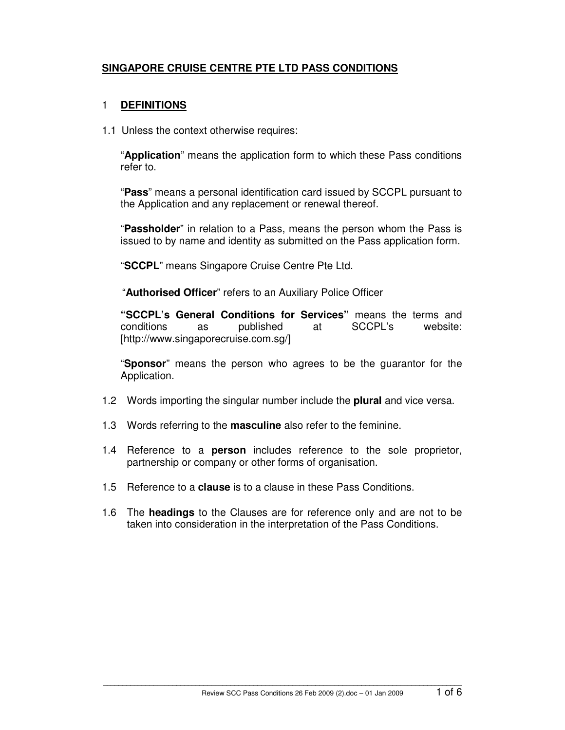# **SINGAPORE CRUISE CENTRE PTE LTD PASS CONDITIONS**

#### 1 **DEFINITIONS**

1.1 Unless the context otherwise requires:

"**Application**" means the application form to which these Pass conditions refer to.

"**Pass**" means a personal identification card issued by SCCPL pursuant to the Application and any replacement or renewal thereof.

"**Passholder**" in relation to a Pass, means the person whom the Pass is issued to by name and identity as submitted on the Pass application form.

"**SCCPL**" means Singapore Cruise Centre Pte Ltd.

"**Authorised Officer**" refers to an Auxiliary Police Officer

**"SCCPL's General Conditions for Services"** means the terms and conditions as published at SCCPL's website: [http://www.singaporecruise.com.sg/]

"**Sponsor**" means the person who agrees to be the guarantor for the Application.

- 1.2 Words importing the singular number include the **plural** and vice versa.
- 1.3 Words referring to the **masculine** also refer to the feminine.
- 1.4 Reference to a **person** includes reference to the sole proprietor, partnership or company or other forms of organisation.
- 1.5 Reference to a **clause** is to a clause in these Pass Conditions.
- 1.6 The **headings** to the Clauses are for reference only and are not to be taken into consideration in the interpretation of the Pass Conditions.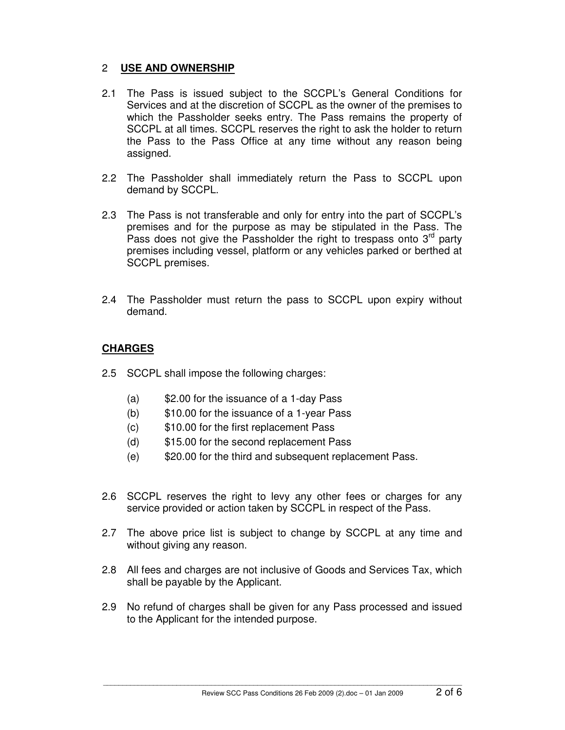### 2 **USE AND OWNERSHIP**

- 2.1 The Pass is issued subject to the SCCPL's General Conditions for Services and at the discretion of SCCPL as the owner of the premises to which the Passholder seeks entry. The Pass remains the property of SCCPL at all times. SCCPL reserves the right to ask the holder to return the Pass to the Pass Office at any time without any reason being assigned.
- 2.2 The Passholder shall immediately return the Pass to SCCPL upon demand by SCCPL.
- 2.3 The Pass is not transferable and only for entry into the part of SCCPL's premises and for the purpose as may be stipulated in the Pass. The Pass does not give the Passholder the right to trespass onto  $3<sup>rd</sup>$  party premises including vessel, platform or any vehicles parked or berthed at SCCPL premises.
- 2.4 The Passholder must return the pass to SCCPL upon expiry without demand.

### **CHARGES**

- 2.5 SCCPL shall impose the following charges:
	- (a) \$2.00 for the issuance of a 1-day Pass
	- (b) \$10.00 for the issuance of a 1-year Pass
	- (c) \$10.00 for the first replacement Pass
	- (d) \$15.00 for the second replacement Pass
	- (e) \$20.00 for the third and subsequent replacement Pass.
- 2.6 SCCPL reserves the right to levy any other fees or charges for any service provided or action taken by SCCPL in respect of the Pass.
- 2.7 The above price list is subject to change by SCCPL at any time and without giving any reason.
- 2.8 All fees and charges are not inclusive of Goods and Services Tax, which shall be payable by the Applicant.
- 2.9 No refund of charges shall be given for any Pass processed and issued to the Applicant for the intended purpose.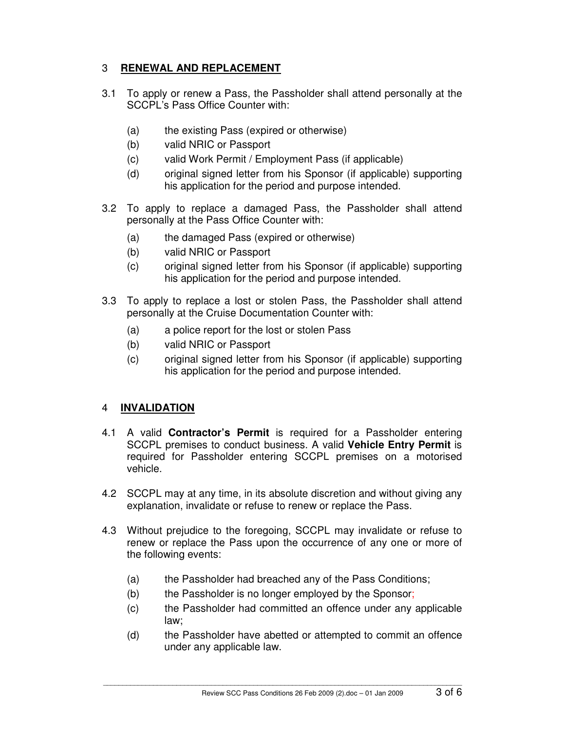### 3 **RENEWAL AND REPLACEMENT**

- 3.1 To apply or renew a Pass, the Passholder shall attend personally at the SCCPL's Pass Office Counter with:
	- (a) the existing Pass (expired or otherwise)
	- (b) valid NRIC or Passport
	- (c) valid Work Permit / Employment Pass (if applicable)
	- (d) original signed letter from his Sponsor (if applicable) supporting his application for the period and purpose intended.
- 3.2 To apply to replace a damaged Pass, the Passholder shall attend personally at the Pass Office Counter with:
	- (a) the damaged Pass (expired or otherwise)
	- (b) valid NRIC or Passport
	- (c) original signed letter from his Sponsor (if applicable) supporting his application for the period and purpose intended.
- 3.3 To apply to replace a lost or stolen Pass, the Passholder shall attend personally at the Cruise Documentation Counter with:
	- (a) a police report for the lost or stolen Pass
	- (b) valid NRIC or Passport
	- (c) original signed letter from his Sponsor (if applicable) supporting his application for the period and purpose intended.

### 4 **INVALIDATION**

- 4.1 A valid **Contractor's Permit** is required for a Passholder entering SCCPL premises to conduct business. A valid **Vehicle Entry Permit** is required for Passholder entering SCCPL premises on a motorised vehicle.
- 4.2 SCCPL may at any time, in its absolute discretion and without giving any explanation, invalidate or refuse to renew or replace the Pass.
- 4.3 Without prejudice to the foregoing, SCCPL may invalidate or refuse to renew or replace the Pass upon the occurrence of any one or more of the following events:
	- (a) the Passholder had breached any of the Pass Conditions;
	- (b) the Passholder is no longer employed by the Sponsor;
	- (c) the Passholder had committed an offence under any applicable law;
	- (d) the Passholder have abetted or attempted to commit an offence under any applicable law.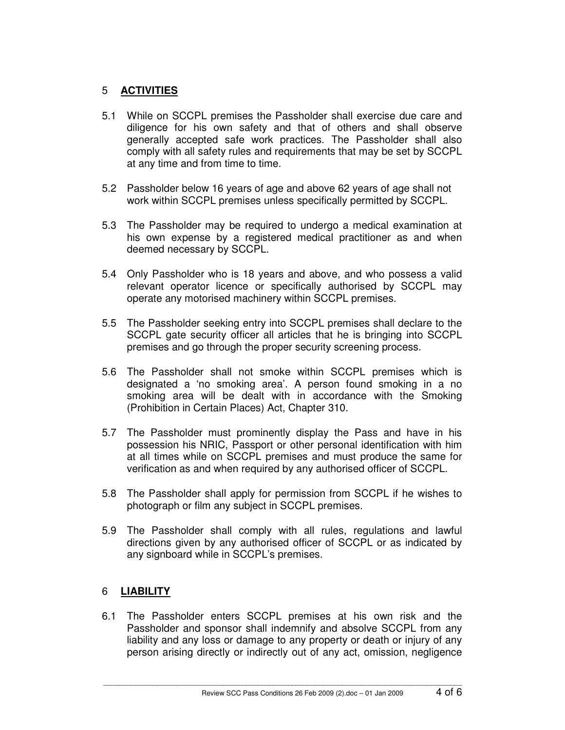# 5 **ACTIVITIES**

- 5.1 While on SCCPL premises the Passholder shall exercise due care and diligence for his own safety and that of others and shall observe generally accepted safe work practices. The Passholder shall also comply with all safety rules and requirements that may be set by SCCPL at any time and from time to time.
- 5.2 Passholder below 16 years of age and above 62 years of age shall not work within SCCPL premises unless specifically permitted by SCCPL.
- 5.3 The Passholder may be required to undergo a medical examination at his own expense by a registered medical practitioner as and when deemed necessary by SCCPL.
- 5.4 Only Passholder who is 18 years and above, and who possess a valid relevant operator licence or specifically authorised by SCCPL may operate any motorised machinery within SCCPL premises.
- 5.5 The Passholder seeking entry into SCCPL premises shall declare to the SCCPL gate security officer all articles that he is bringing into SCCPL premises and go through the proper security screening process.
- 5.6 The Passholder shall not smoke within SCCPL premises which is designated a 'no smoking area'. A person found smoking in a no smoking area will be dealt with in accordance with the Smoking (Prohibition in Certain Places) Act, Chapter 310.
- 5.7 The Passholder must prominently display the Pass and have in his possession his NRIC, Passport or other personal identification with him at all times while on SCCPL premises and must produce the same for verification as and when required by any authorised officer of SCCPL.
- 5.8 The Passholder shall apply for permission from SCCPL if he wishes to photograph or film any subject in SCCPL premises.
- 5.9 The Passholder shall comply with all rules, regulations and lawful directions given by any authorised officer of SCCPL or as indicated by any signboard while in SCCPL's premises.

### 6 **LIABILITY**

6.1 The Passholder enters SCCPL premises at his own risk and the Passholder and sponsor shall indemnify and absolve SCCPL from any liability and any loss or damage to any property or death or injury of any person arising directly or indirectly out of any act, omission, negligence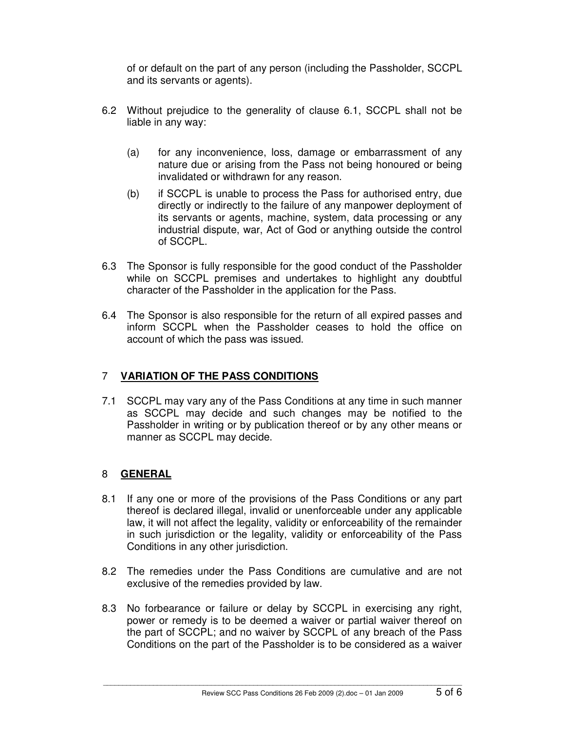of or default on the part of any person (including the Passholder, SCCPL and its servants or agents).

- 6.2 Without prejudice to the generality of clause 6.1, SCCPL shall not be liable in any way:
	- (a) for any inconvenience, loss, damage or embarrassment of any nature due or arising from the Pass not being honoured or being invalidated or withdrawn for any reason.
	- (b) if SCCPL is unable to process the Pass for authorised entry, due directly or indirectly to the failure of any manpower deployment of its servants or agents, machine, system, data processing or any industrial dispute, war, Act of God or anything outside the control of SCCPL.
- 6.3 The Sponsor is fully responsible for the good conduct of the Passholder while on SCCPL premises and undertakes to highlight any doubtful character of the Passholder in the application for the Pass.
- 6.4 The Sponsor is also responsible for the return of all expired passes and inform SCCPL when the Passholder ceases to hold the office on account of which the pass was issued.

# 7 **VARIATION OF THE PASS CONDITIONS**

7.1 SCCPL may vary any of the Pass Conditions at any time in such manner as SCCPL may decide and such changes may be notified to the Passholder in writing or by publication thereof or by any other means or manner as SCCPL may decide.

# 8 **GENERAL**

- 8.1 If any one or more of the provisions of the Pass Conditions or any part thereof is declared illegal, invalid or unenforceable under any applicable law, it will not affect the legality, validity or enforceability of the remainder in such jurisdiction or the legality, validity or enforceability of the Pass Conditions in any other jurisdiction.
- 8.2 The remedies under the Pass Conditions are cumulative and are not exclusive of the remedies provided by law.
- 8.3 No forbearance or failure or delay by SCCPL in exercising any right, power or remedy is to be deemed a waiver or partial waiver thereof on the part of SCCPL; and no waiver by SCCPL of any breach of the Pass Conditions on the part of the Passholder is to be considered as a waiver